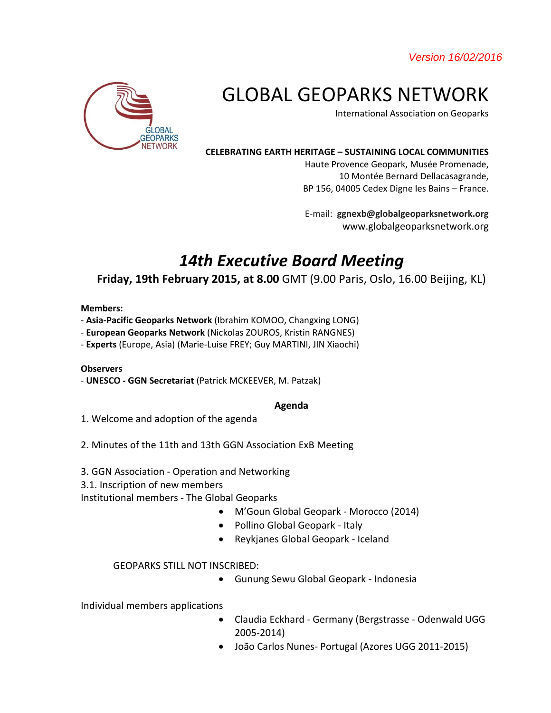*Version 16/02/2016* 



# GLOBAL GEOPARKS NETWORK

International Association on Geoparks

#### **CELEBRATING EARTH HERITAGE – SUSTAINING LOCAL COMMUNITIES**

Haute Provence Geopark, Musée Promenade, 10 Montée Bernard Dellacasagrande, BP 156, 04005 Cedex Digne les Bains – France.

E-mail: **ggnexb@globalgeoparksnetwork.org** www.globalgeoparksnetwork.org

## *14th Executive Board Meeting*

### **Friday, 19th February 2015, at 8.00** GMT (9.00 Paris, Oslo, 16.00 Beijing, KL)

#### **Members:**

- **Asia-Pacific Geoparks Network** (Ibrahim KOMOO, Changxing LONG)
- **European Geoparks Network** (Nickolas ZOUROS, Kristin RANGNES)
- **Experts** (Europe, Asia) (Marie-Luise FREY; Guy MARTINI, JIN Xiaochi)

#### **Observers**

- **UNESCO - GGN Secretariat** (Patrick MCKEEVER, M. Patzak)

#### **Agenda**

- 1. Welcome and adoption of the agenda
- 2. Minutes of the 11th and 13th GGN Association ExB Meeting
- 3. GGN Association Operation and Networking
- 3.1. Inscription of new members

Institutional members - The Global Geoparks

- M'Goun Global Geopark Morocco (2014)
- Pollino Global Geopark Italy
- Reykjanes Global Geopark Iceland

#### GEOPARKS STILL NOT INSCRIBED:

Gunung Sewu Global Geopark - Indonesia

Individual members applications

- Claudia Eckhard Germany (Bergstrasse Odenwald UGG 2005-2014)
- João Carlos Nunes- Portugal (Azores UGG 2011-2015)